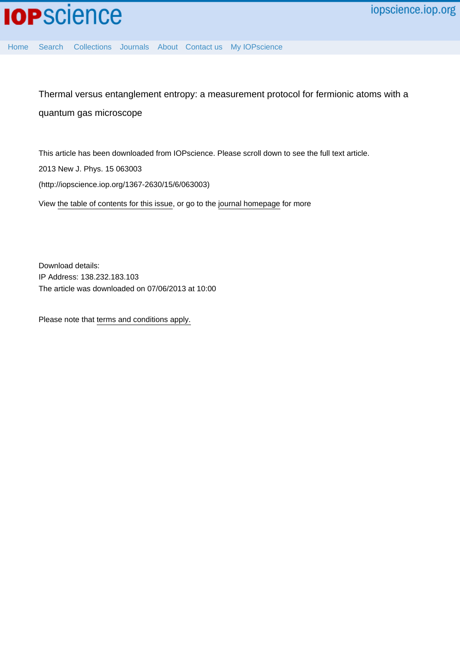

[Home](http://iopscience.iop.org/) [Search](http://iopscience.iop.org/search) [Collections](http://iopscience.iop.org/collections) [Journals](http://iopscience.iop.org/journals) [About](http://iopscience.iop.org/page/aboutioppublishing) [Contact us](http://iopscience.iop.org/contact) [My IOPscience](http://iopscience.iop.org/myiopscience)

Thermal versus entanglement entropy: a measurement protocol for fermionic atoms with a quantum gas microscope

This article has been downloaded from IOPscience. Please scroll down to see the full text article. 2013 New J. Phys. 15 063003 (http://iopscience.iop.org/1367-2630/15/6/063003) View [the table of contents for this issue](http://iopscience.iop.org/1367-2630/15/6), or go to the [journal homepage](http://iopscience.iop.org/1367-2630) for more

Download details: IP Address: 138.232.183.103 The article was downloaded on 07/06/2013 at 10:00

Please note that [terms and conditions apply.](http://iopscience.iop.org/page/terms)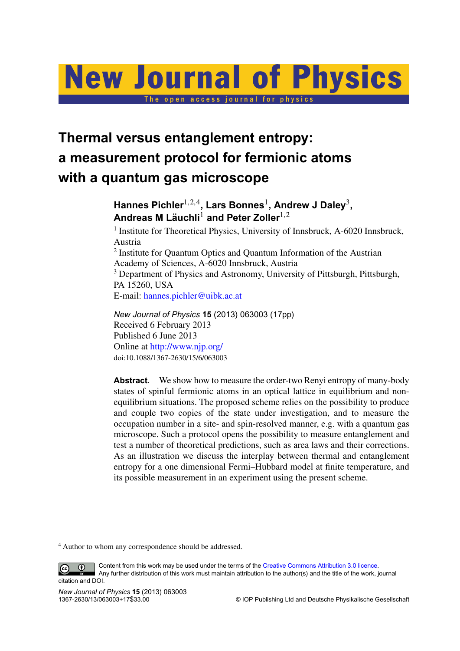# **New Journal of Physics**

The open access journal for physics

# **Thermal versus entanglement entropy: a measurement protocol for fermionic atoms with a quantum gas microscope**

### **Hannes Pichler**1,2,<sup>4</sup> **, Lars Bonnes**<sup>1</sup> **, Andrew J Daley**<sup>3</sup> **, Andreas M Lauchli ¨** <sup>1</sup> **and Peter Zoller**1,<sup>2</sup>

<sup>1</sup> Institute for Theoretical Physics, University of Innsbruck, A-6020 Innsbruck, Austria

<sup>2</sup> Institute for Quantum Optics and Quantum Information of the Austrian Academy of Sciences, A-6020 Innsbruck, Austria <sup>3</sup> Department of Physics and Astronomy, University of Pittsburgh, Pittsburgh, PA 15260, USA E-mail: [hannes.pichler@uibk.ac.at](mailto:hannes.pichler@uibk.ac.at)

*New Journal of Physics* **15** (2013) 063003 (17pp) Received 6 February 2013 Published 6 June 2013 Online at <http://www.njp.org/> doi:10.1088/1367-2630/15/6/063003

**Abstract.** We show how to measure the order-two Renyi entropy of many-body states of spinful fermionic atoms in an optical lattice in equilibrium and nonequilibrium situations. The proposed scheme relies on the possibility to produce and couple two copies of the state under investigation, and to measure the occupation number in a site- and spin-resolved manner, e.g. with a quantum gas microscope. Such a protocol opens the possibility to measure entanglement and test a number of theoretical predictions, such as area laws and their corrections. As an illustration we discuss the interplay between thermal and entanglement entropy for a one dimensional Fermi–Hubbard model at finite temperature, and its possible measurement in an experiment using the present scheme.

<sup>4</sup> Author to whom any correspondence should be addressed.

Content from this work may be used under the terms of the [Creative Commons Attribution 3.0 licence.](http://creativecommons.org/licenses/by/3.0)  $\odot$  $\left($ cc Any further distribution of this work must maintain attribution to the author(s) and the title of the work, journal

citation and DOI.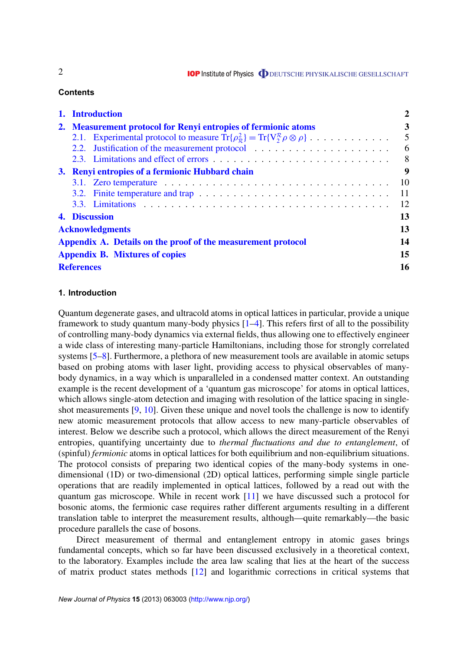**IOP** Institute of Physics **ODEUTSCHE PHYSIKALISCHE GESELLSCHAFT** 

#### **Contents**

| 1. Introduction                                                                                                                               |                |  |  |  |
|-----------------------------------------------------------------------------------------------------------------------------------------------|----------------|--|--|--|
| 2. Measurement protocol for Renyi entropies of fermionic atoms                                                                                |                |  |  |  |
| 2.1. Experimental protocol to measure $\text{Tr}\{\rho_{\pi}^2\} = \text{Tr}\{V_{2}^{\mathcal{R}}\rho \otimes \rho\} \dots \dots \dots \dots$ | $\overline{5}$ |  |  |  |
| 2.2. Justification of the measurement protocol                                                                                                | - 6            |  |  |  |
|                                                                                                                                               | 8 <sup>8</sup> |  |  |  |
| 3. Renyi entropies of a fermionic Hubbard chain                                                                                               |                |  |  |  |
|                                                                                                                                               | <b>10</b>      |  |  |  |
| 3.2. Finite temperature and trap $\ldots \ldots \ldots \ldots \ldots \ldots \ldots \ldots \ldots \ldots$                                      | 11             |  |  |  |
|                                                                                                                                               | 12             |  |  |  |
| 13<br>4. Discussion                                                                                                                           |                |  |  |  |
| <b>Acknowledgments</b>                                                                                                                        |                |  |  |  |
| Appendix A. Details on the proof of the measurement protocol                                                                                  |                |  |  |  |
| <b>Appendix B. Mixtures of copies</b>                                                                                                         |                |  |  |  |
| <b>References</b>                                                                                                                             |                |  |  |  |

#### **1. Introduction**

Quantum degenerate gases, and ultracold atoms in optical lattices in particular, provide a unique framework to study quantum many-body physics  $[1-4]$ . This refers first of all to the possibility of controlling many-body dynamics via external fields, thus allowing one to effectively engineer a wide class of interesting many-particle Hamiltonians, including those for strongly correlated systems [\[5–8\]](#page-16-0). Furthermore, a plethora of new measurement tools are available in atomic setups based on probing atoms with laser light, providing access to physical observables of manybody dynamics, in a way which is unparalleled in a condensed matter context. An outstanding example is the recent development of a 'quantum gas microscope' for atoms in optical lattices, which allows single-atom detection and imaging with resolution of the lattice spacing in singleshot measurements [\[9,](#page-16-0) [10\]](#page-16-0). Given these unique and novel tools the challenge is now to identify new atomic measurement protocols that allow access to new many-particle observables of interest. Below we describe such a protocol, which allows the direct measurement of the Renyi entropies, quantifying uncertainty due to *thermal fluctuations and due to entanglement*, of (spinful) *fermionic* atoms in optical lattices for both equilibrium and non-equilibrium situations. The protocol consists of preparing two identical copies of the many-body systems in onedimensional (1D) or two-dimensional (2D) optical lattices, performing simple single particle operations that are readily implemented in optical lattices, followed by a read out with the quantum gas microscope. While in recent work [\[11\]](#page-16-0) we have discussed such a protocol for bosonic atoms, the fermionic case requires rather different arguments resulting in a different translation table to interpret the measurement results, although—quite remarkably—the basic procedure parallels the case of bosons.

Direct measurement of thermal and entanglement entropy in atomic gases brings fundamental concepts, which so far have been discussed exclusively in a theoretical context, to the laboratory. Examples include the area law scaling that lies at the heart of the success of matrix product states methods [\[12\]](#page-16-0) and logarithmic corrections in critical systems that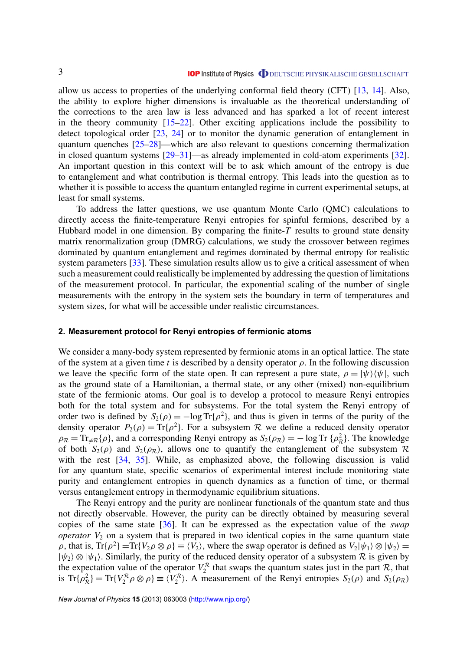<span id="page-3-0"></span>allow us access to properties of the underlying conformal field theory (CFT) [\[13,](#page-16-0) [14\]](#page-16-0). Also, the ability to explore higher dimensions is invaluable as the theoretical understanding of the corrections to the area law is less advanced and has sparked a lot of recent interest in the theory community  $[15-22]$ . Other exciting applications include the possibility to detect topological order [\[23,](#page-16-0) [24\]](#page-16-0) or to monitor the dynamic generation of entanglement in quantum quenches [\[25–28\]](#page-16-0)—which are also relevant to questions concerning thermalization in closed quantum systems [\[29–31\]](#page-16-0)—as already implemented in cold-atom experiments [\[32\]](#page-16-0). An important question in this context will be to ask which amount of the entropy is due to entanglement and what contribution is thermal entropy. This leads into the question as to whether it is possible to access the quantum entangled regime in current experimental setups, at least for small systems.

To address the latter questions, we use quantum Monte Carlo (QMC) calculations to directly access the finite-temperature Renyi entropies for spinful fermions, described by a Hubbard model in one dimension. By comparing the finite-*T* results to ground state density matrix renormalization group (DMRG) calculations, we study the crossover between regimes dominated by quantum entanglement and regimes dominated by thermal entropy for realistic system parameters [\[33\]](#page-16-0). These simulation results allow us to give a critical assessment of when such a measurement could realistically be implemented by addressing the question of limitations of the measurement protocol. In particular, the exponential scaling of the number of single measurements with the entropy in the system sets the boundary in term of temperatures and system sizes, for what will be accessible under realistic circumstances.

#### **2. Measurement protocol for Renyi entropies of fermionic atoms**

We consider a many-body system represented by fermionic atoms in an optical lattice. The state of the system at a given time *t* is described by a density operator  $\rho$ . In the following discussion we leave the specific form of the state open. It can represent a pure state,  $\rho = |\psi\rangle \langle \psi|$ , such as the ground state of a Hamiltonian, a thermal state, or any other (mixed) non-equilibrium state of the fermionic atoms. Our goal is to develop a protocol to measure Renyi entropies both for the total system and for subsystems. For the total system the Renyi entropy of order two is defined by  $S_2(\rho) = -\log Tr{\rho^2}$ , and thus is given in terms of the purity of the density operator  $P_2(\rho) = \text{Tr}\{\rho^2\}$ . For a subsystem R we define a reduced density operator  $\rho_R = \text{Tr}_{\neq R} \{\rho\}$ , and a corresponding Renyi entropy as  $S_2(\rho_R) = -\log \text{Tr} \{\rho_R^2\}$ . The knowledge of both  $S_2(\rho)$  and  $S_2(\rho_R)$ , allows one to quantify the entanglement of the subsystem R with the rest [\[34,](#page-17-0) [35\]](#page-17-0). While, as emphasized above, the following discussion is valid for any quantum state, specific scenarios of experimental interest include monitoring state purity and entanglement entropies in quench dynamics as a function of time, or thermal versus entanglement entropy in thermodynamic equilibrium situations.

The Renyi entropy and the purity are nonlinear functionals of the quantum state and thus not directly observable. However, the purity can be directly obtained by measuring several copies of the same state [\[36\]](#page-17-0). It can be expressed as the expectation value of the *swap operator*  $V_2$  on a system that is prepared in two identical copies in the same quantum state  $\rho$ , that is,  $Tr{\rho^2} = Tr{V_2 \rho \otimes \rho} \equiv \langle V_2 \rangle$ , where the swap operator is defined as  $V_2|\psi_1\rangle \otimes |\psi_2\rangle =$  $|\psi_2\rangle \otimes |\psi_1\rangle$ . Similarly, the purity of the reduced density operator of a subsystem R is given by the expectation value of the operator  $V_2^R$  that swaps the quantum states just in the part  $R$ , that is  $\text{Tr}\{\rho_R^2\} = \text{Tr}\{V_2^R \rho \otimes \rho\} \equiv \langle V_2^R \rangle$ . A measurement of the Renyi entropies  $S_2(\rho)$  and  $S_2(\rho_R)$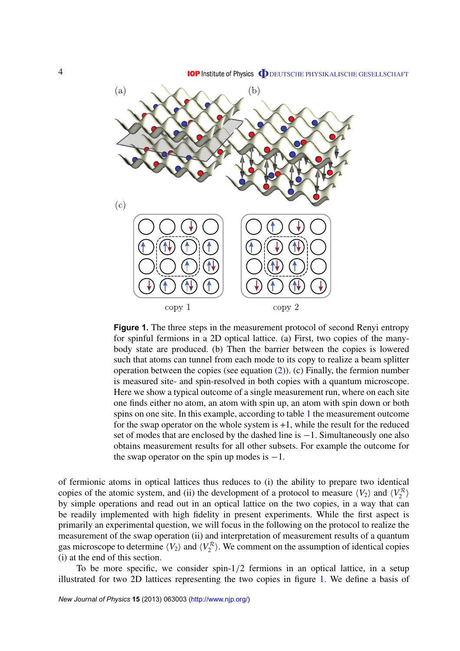<span id="page-4-0"></span>

**Figure 1.** The three steps in the measurement protocol of second Renyi entropy for spinful fermions in a 2D optical lattice. (a) First, two copies of the manybody state are produced. (b) Then the barrier between the copies is lowered such that atoms can tunnel from each mode to its copy to realize a beam splitter operation between the copies (see equation [\(2\)](#page-5-0)). (c) Finally, the fermion number is measured site- and spin-resolved in both copies with a quantum microscope. Here we show a typical outcome of a single measurement run, where on each site one finds either no atom, an atom with spin up, an atom with spin down or both spins on one site. In this example, according to table [1](#page-6-0) the measurement outcome for the swap operator on the whole system is +1, while the result for the reduced set of modes that are enclosed by the dashed line is −1. Simultaneously one also obtains measurement results for all other subsets. For example the outcome for the swap operator on the spin up modes is  $-1$ .

of fermionic atoms in optical lattices thus reduces to (i) the ability to prepare two identical copies of the atomic system, and (ii) the development of a protocol to measure  $\langle V_2 \rangle$  and  $\langle V_2^R \rangle$ by simple operations and read out in an optical lattice on the two copies, in a way that can be readily implemented with high fidelity in present experiments. While the first aspect is primarily an experimental question, we will focus in the following on the protocol to realize the measurement of the swap operation (ii) and interpretation of measurement results of a quantum gas microscope to determine  $\langle V_2 \rangle$  and  $\langle V_2^R \rangle$ . We comment on the assumption of identical copies (i) at the end of this section.

To be more specific, we consider spin-1/2 fermions in an optical lattice, in a setup illustrated for two 2D lattices representing the two copies in figure 1. We define a basis of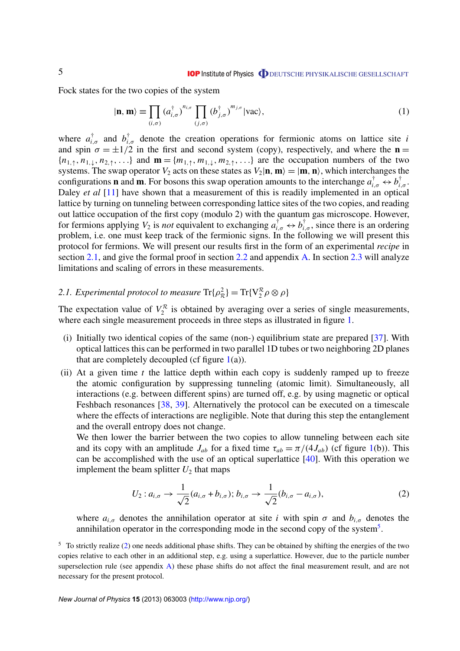<span id="page-5-0"></span>Fock states for the two copies of the system

$$
|\mathbf{n}, \mathbf{m}\rangle \equiv \prod_{(i,\sigma)} \left(a_{i,\sigma}^{\dagger}\right)^{n_{i,\sigma}} \prod_{(j,\sigma)} \left(b_{j,\sigma}^{\dagger}\right)^{m_{j,\sigma}} |\text{vac}\rangle, \tag{1}
$$

where  $a_{i,\sigma}^{\dagger}$  and  $b_{i,\sigma}^{\dagger}$  denote the creation operations for fermionic atoms on lattice site *i* and spin  $\sigma = \pm 1/2$  in the first and second system (copy), respectively, and where the **n** =  ${n_1, \gamma, n_1, \ldots}$  and  $\mathbf{m} = {m_1, \gamma, m_1, \ldots}$  are the occupation numbers of the two systems. The swap operator  $V_2$  acts on these states as  $V_2|\mathbf{n}, \mathbf{m}\rangle = |\mathbf{m}, \mathbf{n}\rangle$ , which interchanges the configurations **n** and **m**. For bosons this swap operation amounts to the interchange  $a_{i,\sigma}^{\dagger} \leftrightarrow b_{i,\sigma}^{\dagger}$ . Daley *et al* [\[11\]](#page-16-0) have shown that a measurement of this is readily implemented in an optical lattice by turning on tunneling between corresponding lattice sites of the two copies, and reading out lattice occupation of the first copy (modulo 2) with the quantum gas microscope. However, for fermions applying  $V_2$  is *not* equivalent to exchanging  $a_{i,\sigma}^{\dagger} \leftrightarrow b_{i,\sigma}^{\dagger}$ , since there is an ordering problem, i.e. one must keep track of the fermionic signs. In the following we will present this protocol for fermions. We will present our results first in the form of an experimental *recipe* in section 2.1, and give the formal proof in section [2.2](#page-6-0) and appendix [A.](#page-13-0) In section [2.3](#page-8-0) will analyze limitations and scaling of errors in these measurements.

## 2.1. Experimental protocol to measure  $\text{Tr}\{\rho^2_R\} = \text{Tr}\{V^{\mathcal{R}}_2 \rho \otimes \rho\}$

The expectation value of  $V_2^R$  is obtained by averaging over a series of single measurements, where each single measurement proceeds in three steps as illustrated in figure [1.](#page-4-0)

- (i) Initially two identical copies of the same (non-) equilibrium state are prepared [\[37\]](#page-17-0). With optical lattices this can be performed in two parallel 1D tubes or two neighboring 2D planes that are completely decoupled (cf figure  $1(a)$  $1(a)$ ).
- (ii) At a given time *t* the lattice depth within each copy is suddenly ramped up to freeze the atomic configuration by suppressing tunneling (atomic limit). Simultaneously, all interactions (e.g. between different spins) are turned off, e.g. by using magnetic or optical Feshbach resonances [\[38,](#page-17-0) [39\]](#page-17-0). Alternatively the protocol can be executed on a timescale where the effects of interactions are negligible. Note that during this step the entanglement and the overall entropy does not change.

We then lower the barrier between the two copies to allow tunneling between each site and its copy with an amplitude  $J_{ab}$  for a fixed time  $\tau_{ab} = \pi/(4J_{ab})$  (cf figure [1\(](#page-4-0)b)). This can be accomplished with the use of an optical superlattice  $[40]$ . With this operation we implement the beam splitter  $U_2$  that maps

$$
U_2: a_{i,\sigma} \to \frac{1}{\sqrt{2}}(a_{i,\sigma} + b_{i,\sigma}); b_{i,\sigma} \to \frac{1}{\sqrt{2}}(b_{i,\sigma} - a_{i,\sigma}),
$$
\n(2)

where  $a_{i,\sigma}$  denotes the annihilation operator at site *i* with spin  $\sigma$  and  $b_{i,\sigma}$  denotes the annihilation operator in the corresponding mode in the second copy of the system<sup>5</sup>.

<sup>&</sup>lt;sup>5</sup> To strictly realize (2) one needs additional phase shifts. They can be obtained by shifting the energies of the two copies relative to each other in an additional step, e.g. using a superlattice. However, due to the particle number superselection rule (see appendix [A\)](#page-13-0) these phase shifts do not affect the final measurement result, and are not necessary for the present protocol.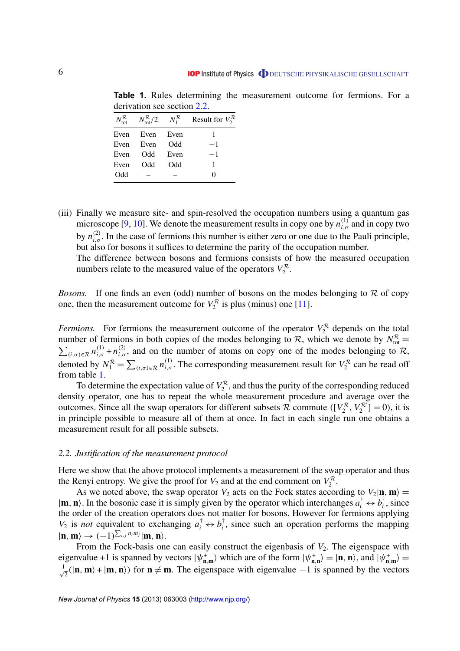| $N^{\mathcal{R}}_{\text{tot}}$ | $N_{\rm tot}^{\mathcal{R}}/2$ | $N_1^{\mathcal{R}}$ | Result for $V_2^{\mathcal{R}}$ |
|--------------------------------|-------------------------------|---------------------|--------------------------------|
| Even                           | Even Even                     |                     |                                |
| Even                           | Even                          | <b>Odd</b>          | $-1$                           |
| Even                           | Odd -                         | Even                | $-1$                           |
| Even                           | <b>Odd</b>                    | Odd                 | L                              |
| Odd                            |                               |                     | $\Omega$                       |

<span id="page-6-0"></span>**Table 1.** Rules determining the measurement outcome for fermions. For a derivation see section 2.2.

(iii) Finally we measure site- and spin-resolved the occupation numbers using a quantum gas microscope [\[9,](#page-16-0) [10\]](#page-16-0). We denote the measurement results in copy one by  $n_{i,\sigma}^{(1)}$  and in copy two by  $n_{i,\sigma}^{(2)}$ . In the case of fermions this number is either zero or one due to the Pauli principle, but also for bosons it suffices to determine the parity of the occupation number. The difference between bosons and fermions consists of how the measured occupation numbers relate to the measured value of the operators  $V_2^R$ .

*Bosons.* If one finds an even (odd) number of bosons on the modes belonging to  $\mathcal R$  of copy one, then the measurement outcome for  $V_2^R$  is plus (minus) one [\[11\]](#page-16-0).

*Fermions.* For fermions the measurement outcome of the operator  $V_2^R$  depends on the total number of fermions in both copies of the modes belonging to  $\mathcal{R}$ , which we denote by  $N_{\text{tot}}^{\mathcal{R}} =$  $\sum_{(i,\sigma)\in\mathcal{R}} n_{i,\sigma}^{(1)} + n_{i,\sigma}^{(2)}$ , and on the number of atoms on copy one of the modes belonging to R, denoted by  $N_1^R = \sum_{(i,\sigma)\in \mathcal{R}} n_{i,\sigma}^{(1)}$ . The corresponding measurement result for  $V_2^R$  can be read off from table 1.

To determine the expectation value of  $V_2^R$ , and thus the purity of the corresponding reduced density operator, one has to repeat the whole measurement procedure and average over the outcomes. Since all the swap operators for different subsets  $\mathcal{R}$  commute ( $[V_2^{\mathcal{R}}, V_2^{\mathcal{R}}] = 0$ ), it is in principle possible to measure all of them at once. In fact in each single run one obtains a measurement result for all possible subsets.

#### *2.2. Justification of the measurement protocol*

Here we show that the above protocol implements a measurement of the swap operator and thus the Renyi entropy. We give the proof for  $V_2$  and at the end comment on  $V_2^R$ .

As we noted above, the swap operator  $V_2$  acts on the Fock states according to  $V_2|\mathbf{n}, \mathbf{m}\rangle =$  $|\mathbf{m}, \mathbf{n}\rangle$ . In the bosonic case it is simply given by the operator which interchanges  $a_i^{\dagger} \leftrightarrow b_i^{\dagger}$  $\int_i^{\tau}$ , since the order of the creation operators does not matter for bosons. However for fermions applying *V*<sub>2</sub> is *not* equivalent to exchanging  $a_i^{\dagger} \leftrightarrow b_i^{\dagger}$  $\bar{i}$ , since such an operation performs the mapping  $|\mathbf{n}, \mathbf{m}\rangle \rightarrow (-1)^{\sum_{i,j} n_i m_j} |\mathbf{m}, \mathbf{n}\rangle.$ 

From the Fock-basis one can easily construct the eigenbasis of  $V_2$ . The eigenspace with eigenvalue +1 is spanned by vectors  $|\psi_{n,m}^{\dagger}\rangle$  which are of the form  $|\psi_{n,n}^{\dagger}\rangle = |n, n\rangle$ , and  $|\psi_{n,m}^{\dagger}\rangle =$  $\frac{1}{\sqrt{2}}$  $\overline{z}$ (|**n**, **m**) + |**m**, **n**)) for **n**  $\neq$  **m**. The eigenspace with eigenvalue −1 is spanned by the vectors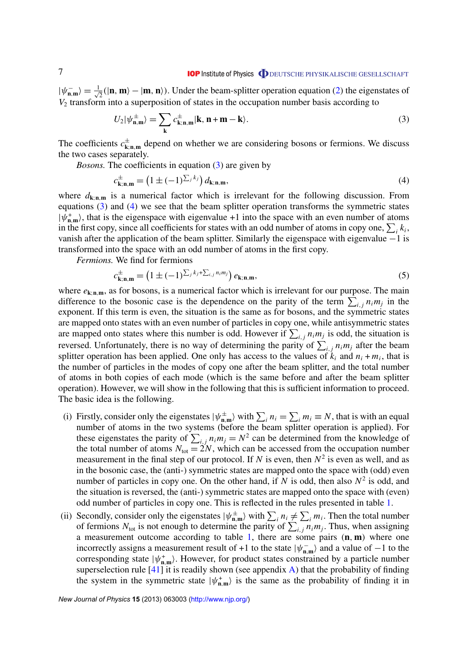$|\psi_{\mathbf{n},\mathbf{m}}^{-}\rangle = \frac{1}{\sqrt{2}}$  $\overline{z}$ (|**n**, **m**) − |**m**, **n**)). Under the beam-splitter operation equation [\(2\)](#page-5-0) the eigenstates of *V*<sup>2</sup> transform into a superposition of states in the occupation number basis according to

$$
U_2|\psi_{\mathbf{n},\mathbf{m}}^{\pm}\rangle = \sum_{\mathbf{k}} c_{\mathbf{k};\mathbf{n},\mathbf{m}}^{\pm} |\mathbf{k},\mathbf{n}+\mathbf{m}-\mathbf{k}\rangle.
$$
 (3)

The coefficients  $c_{\mathbf{k};\mathbf{n},\mathbf{m}}^{\pm}$  depend on whether we are considering bosons or fermions. We discuss the two cases separately.

*Bosons*. The coefficients in equation (3) are given by

$$
c_{\mathbf{k};\mathbf{n},\mathbf{m}}^{\pm} = \left(1 \pm (-1)^{\sum_j k_j}\right) d_{\mathbf{k};\mathbf{n},\mathbf{m}},\tag{4}
$$

where  $d_{\mathbf{k};\mathbf{n},\mathbf{m}}$  is a numerical factor which is irrelevant for the following discussion. From equations (3) and (4) we see that the beam splitter operation transforms the symmetric states  $|\psi_{n,m}^{\dagger}\rangle$ , that is the eigenspace with eigenvalue +1 into the space with an even number of atoms in the first copy, since all coefficients for states with an odd number of atoms in copy one,  $\sum_i k_i$ , vanish after the application of the beam splitter. Similarly the eigenspace with eigenvalue −1 is transformed into the space with an odd number of atoms in the first copy.

*Fermions.* We find for fermions

$$
c_{\mathbf{k};\mathbf{n},\mathbf{m}}^{\pm} = \left(1 \pm (-1)^{\sum_j k_j + \sum_{i,j} n_i m_j}\right) e_{\mathbf{k};\mathbf{n},\mathbf{m}},\tag{5}
$$

where  $e_{k;n,m}$ , as for bosons, is a numerical factor which is irrelevant for our purpose. The main difference to the bosonic case is the dependence on the parity of the term  $\sum_{i,j} n_i m_j$  in the exponent. If this term is even, the situation is the same as for bosons, and the symmetric states are mapped onto states with an even number of particles in copy one, while antisymmetric states are mapped onto states where this number is odd. However if  $\sum_{i,j} n_i m_j$  is odd, the situation is reversed. Unfortunately, there is no way of determining the parity of  $\sum_{i,j} n_i m_j$  after the beam splitter operation has been applied. One only has access to the values of  $k_i$  and  $n_i + m_i$ , that is the number of particles in the modes of copy one after the beam splitter, and the total number of atoms in both copies of each mode (which is the same before and after the beam splitter operation). However, we will show in the following that this is sufficient information to proceed. The basic idea is the following.

- (i) Firstly, consider only the eigenstates  $|\psi_{n,m}^{\pm}\rangle$  with  $\sum_{i} n_i = \sum_{i} m_i \equiv N$ , that is with an equal number of atoms in the two systems (before the beam splitter operation is applied). For these eigenstates the parity of  $\sum_{i,j} n_i m_j = N^2$  can be determined from the knowledge of the total number of atoms  $N_{\text{tot}} = 2N$ , which can be accessed from the occupation number measurement in the final step of our protocol. If *N* is even, then  $N^2$  is even as well, and as in the bosonic case, the (anti-) symmetric states are mapped onto the space with (odd) even number of particles in copy one. On the other hand, if  $N$  is odd, then also  $N^2$  is odd, and the situation is reversed, the (anti-) symmetric states are mapped onto the space with (even) odd number of particles in copy one. This is reflected in the rules presented in table [1.](#page-6-0)
- (ii) Secondly, consider only the eigenstates  $|\psi_{n,m}^{\pm}\rangle$  with  $\sum_i n_i \neq \sum_i m_i$ . Then the total number of fermions  $N_{\text{tot}}$  is not enough to determine the parity of  $\sum_{i,j} n_i m_j$ . Thus, when assigning a measurement outcome according to table [1,](#page-6-0) there are some pairs (**n**, **m**) where one incorrectly assigns a measurement result of +1 to the state  $|\psi_{n,m}^- \rangle$  and a value of −1 to the corresponding state  $|\psi_{n,m}^{\dagger}\rangle$ . However, for product states constrained by a particle number superselection rule  $[41]$  it is readily shown (see appendix [A\)](#page-13-0) that the probability of finding the system in the symmetric state  $|\psi_{n,m}^+\rangle$  is the same as the probability of finding it in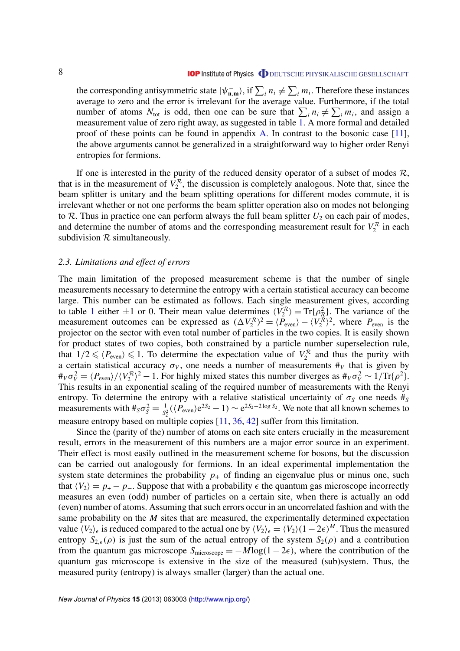<span id="page-8-0"></span>the corresponding antisymmetric state  $|\psi_{n,m}^- \rangle$ , if  $\sum_i n_i \neq \sum_i m_i$ . Therefore these instances average to zero and the error is irrelevant for the average value. Furthermore, if the total number of atoms  $N_{\text{tot}}$  is odd, then one can be sure that  $\sum_i n_i \neq \sum_i m_i$ , and assign a measurement value of zero right away, as suggested in table [1.](#page-6-0) A more formal and detailed proof of these points can be found in appendix [A.](#page-13-0) In contrast to the bosonic case [\[11\]](#page-16-0), the above arguments cannot be generalized in a straightforward way to higher order Renyi entropies for fermions.

If one is interested in the purity of the reduced density operator of a subset of modes  $\mathcal{R}$ , that is in the measurement of  $V_2^R$ , the discussion is completely analogous. Note that, since the beam splitter is unitary and the beam splitting operations for different modes commute, it is irrelevant whether or not one performs the beam splitter operation also on modes not belonging to  $\mathcal R$ . Thus in practice one can perform always the full beam splitter  $U_2$  on each pair of modes, and determine the number of atoms and the corresponding measurement result for  $V_2^R$  in each subdivision  $R$  simultaneously.

#### *2.3. Limitations and effect of errors*

The main limitation of the proposed measurement scheme is that the number of single measurements necessary to determine the entropy with a certain statistical accuracy can become large. This number can be estimated as follows. Each single measurement gives, according to table [1](#page-6-0) either  $\pm 1$  or 0. Their mean value determines  $\langle V_2^R \rangle = \text{Tr} \{ \rho_R^2 \}$ . The variance of the measurement outcomes can be expressed as  $(\Delta V_2^R)^2 = \langle \tilde{P}_{even} \rangle - \langle V_2^R \rangle^2$ , where  $P_{even}$  is the projector on the sector with even total number of particles in the two copies. It is easily shown for product states of two copies, both constrained by a particle number superselection rule, that  $1/2 \leq P_{even} \leq 1$ . To determine the expectation value of  $V_2^R$  and thus the purity with a certain statistical accuracy  $\sigma_V$ , one needs a number of measurements  $\#_V$  that is given by  $\#_V \sigma_V^2 = \langle P_{\text{even}} \rangle / \langle V_2^R \rangle^2 - 1$ . For highly mixed states this number diverges as  $\#_V \sigma_V^2 \sim 1/\text{Tr}\{\rho^2\}$ . This results in an exponential scaling of the required number of measurements with the Renyi entropy. To determine the entropy with a relative statistical uncertainty of  $\sigma_s$  one needs  $\#_S$ measurements with  $\#_S \sigma_S^2 = \frac{1}{S^2}$  $\frac{1}{S_2^2}$  ( $\langle P_{\text{even}} \rangle e^{2S_2} - 1$ ) ~  $e^{2S_2 - 2 \log S_2}$ . We note that all known schemes to measure entropy based on multiple copies  $[11, 36, 42]$  $[11, 36, 42]$  $[11, 36, 42]$  $[11, 36, 42]$  $[11, 36, 42]$  suffer from this limitation.

Since the (parity of the) number of atoms on each site enters crucially in the measurement result, errors in the measurement of this numbers are a major error source in an experiment. Their effect is most easily outlined in the measurement scheme for bosons, but the discussion can be carried out analogously for fermions. In an ideal experimental implementation the system state determines the probability  $p_{\pm}$  of finding an eigenvalue plus or minus one, such that  $\langle V_2 \rangle = p_+ - p_-$ . Suppose that with a probability  $\epsilon$  the quantum gas microscope incorrectly measures an even (odd) number of particles on a certain site, when there is actually an odd (even) number of atoms. Assuming that such errors occur in an uncorrelated fashion and with the same probability on the *M* sites that are measured, the experimentally determined expectation value  $\langle V_2 \rangle_\epsilon$  is reduced compared to the actual one by  $\langle V_2 \rangle_\epsilon = \langle V_2 \rangle (1 - 2\epsilon)^M$ . Thus the measured entropy  $S_{2,\epsilon}(\rho)$  is just the sum of the actual entropy of the system  $S_2(\rho)$  and a contribution from the quantum gas microscope  $S_{\text{microscope}} = -M \log(1 - 2\epsilon)$ , where the contribution of the quantum gas microscope is extensive in the size of the measured (sub)system. Thus, the measured purity (entropy) is always smaller (larger) than the actual one.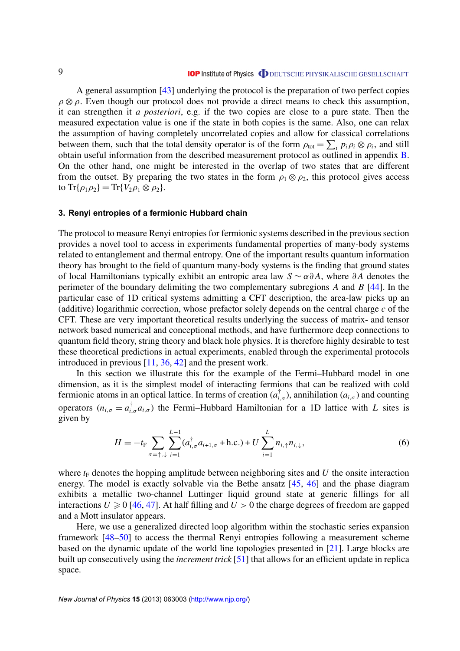<span id="page-9-0"></span>A general assumption [\[43\]](#page-17-0) underlying the protocol is the preparation of two perfect copies  $\rho \otimes \rho$ . Even though our protocol does not provide a direct means to check this assumption, it can strengthen it *a posteriori*, e.g. if the two copies are close to a pure state. Then the measured expectation value is one if the state in both copies is the same. Also, one can relax the assumption of having completely uncorrelated copies and allow for classical correlations between them, such that the total density operator is of the form  $\rho_{\text{tot}} = \sum_i p_i \rho_i \otimes \rho_i$ , and still obtain useful information from the described measurement protocol as outlined in appendix [B.](#page-15-0) On the other hand, one might be interested in the overlap of two states that are different from the outset. By preparing the two states in the form  $\rho_1 \otimes \rho_2$ , this protocol gives access to  $\text{Tr}\{\rho_1 \rho_2\} = \text{Tr}\{V_2 \rho_1 \otimes \rho_2\}.$ 

#### **3. Renyi entropies of a fermionic Hubbard chain**

The protocol to measure Renyi entropies for fermionic systems described in the previous section provides a novel tool to access in experiments fundamental properties of many-body systems related to entanglement and thermal entropy. One of the important results quantum information theory has brought to the field of quantum many-body systems is the finding that ground states of local Hamiltonians typically exhibit an entropic area law *S* ∼ α∂ *A*, where ∂ *A* denotes the perimeter of the boundary delimiting the two complementary subregions *A* and *B* [\[44\]](#page-17-0). In the particular case of 1D critical systems admitting a CFT description, the area-law picks up an (additive) logarithmic correction, whose prefactor solely depends on the central charge *c* of the CFT. These are very important theoretical results underlying the success of matrix- and tensor network based numerical and conceptional methods, and have furthermore deep connections to quantum field theory, string theory and black hole physics. It is therefore highly desirable to test these theoretical predictions in actual experiments, enabled through the experimental protocols introduced in previous [\[11,](#page-16-0) [36,](#page-17-0) [42\]](#page-17-0) and the present work.

In this section we illustrate this for the example of the Fermi–Hubbard model in one dimension, as it is the simplest model of interacting fermions that can be realized with cold fermionic atoms in an optical lattice. In terms of creation  $(a_{i,\sigma}^{\dagger})$ , annihilation  $(a_{i,\sigma})$  and counting operators  $(n_{i,\sigma} = a_{i,\sigma}^{\dagger} a_{i,\sigma})$  the Fermi–Hubbard Hamiltonian for a 1D lattice with *L* sites is given by

$$
H = -t_{\rm F} \sum_{\sigma = \uparrow, \downarrow} \sum_{i=1}^{L-1} (a_{i,\sigma}^{\dagger} a_{i+1,\sigma} + \text{h.c.}) + U \sum_{i=1}^{L} n_{i,\uparrow} n_{i,\downarrow}, \tag{6}
$$

where  $t_F$  denotes the hopping amplitude between neighboring sites and  $U$  the onsite interaction energy. The model is exactly solvable via the Bethe ansatz [\[45,](#page-17-0) [46\]](#page-17-0) and the phase diagram exhibits a metallic two-channel Luttinger liquid ground state at generic fillings for all interactions  $U \ge 0$  [\[46,](#page-17-0) [47\]](#page-17-0). At half filling and  $U > 0$  the charge degrees of freedom are gapped and a Mott insulator appears.

Here, we use a generalized directed loop algorithm within the stochastic series expansion framework [\[48–50\]](#page-17-0) to access the thermal Renyi entropies following a measurement scheme based on the dynamic update of the world line topologies presented in [\[21\]](#page-16-0). Large blocks are built up consecutively using the *increment trick* [\[51\]](#page-17-0) that allows for an efficient update in replica space.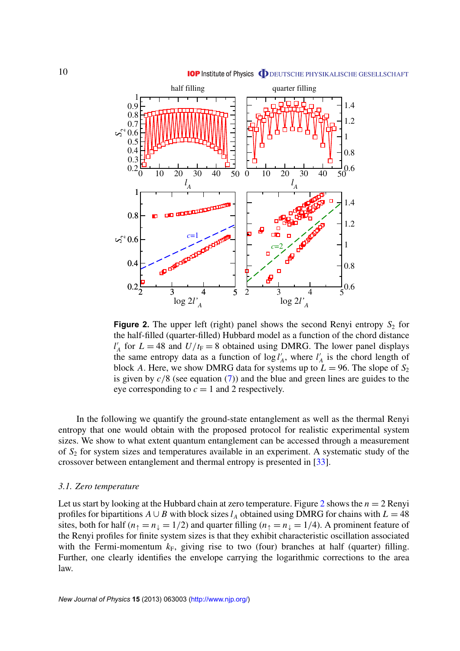<span id="page-10-0"></span>

**Figure 2.** The upper left (right) panel shows the second Renyi entropy  $S_2$  for the half-filled (quarter-filled) Hubbard model as a function of the chord distance  $l'$  $V_A$  for  $L = 48$  and  $U/t_F = 8$  obtained using DMRG. The lower panel displays the same entropy data as a function of  $\log l$ <sup>'</sup>  $\alpha_A^{\prime}$ , where  $l_A^{\prime}$  $\alpha_A'$  is the chord length of block *A*. Here, we show DMRG data for systems up to  $L = 96$ . The slope of  $S_2$ is given by *c*/8 (see equation [\(7\)](#page-11-0)) and the blue and green lines are guides to the eye corresponding to  $c = 1$  and 2 respectively.

In the following we quantify the ground-state entanglement as well as the thermal Renyi entropy that one would obtain with the proposed protocol for realistic experimental system sizes. We show to what extent quantum entanglement can be accessed through a measurement of *S*<sup>2</sup> for system sizes and temperatures available in an experiment. A systematic study of the crossover between entanglement and thermal entropy is presented in [\[33\]](#page-16-0).

#### *3.1. Zero temperature*

Let us start by looking at the Hubbard chain at zero temperature. Figure 2 shows the  $n = 2$  Renyi profiles for bipartitions  $A \cup B$  with block sizes  $l_A$  obtained using DMRG for chains with  $L = 48$ sites, both for half ( $n_{\uparrow} = n_{\downarrow} = 1/2$ ) and quarter filling ( $n_{\uparrow} = n_{\downarrow} = 1/4$ ). A prominent feature of the Renyi profiles for finite system sizes is that they exhibit characteristic oscillation associated with the Fermi-momentum  $k_F$ , giving rise to two (four) branches at half (quarter) filling. Further, one clearly identifies the envelope carrying the logarithmic corrections to the area law.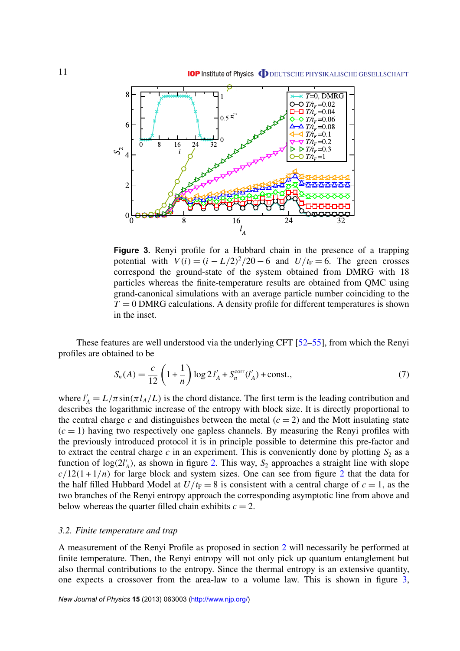<span id="page-11-0"></span>

**Figure 3.** Renyi profile for a Hubbard chain in the presence of a trapping potential with  $V(i) = (i - L/2)^2/20 - 6$  and  $U/t_F = 6$ . The green crosses correspond the ground-state of the system obtained from DMRG with 18 particles whereas the finite-temperature results are obtained from QMC using grand-canonical simulations with an average particle number coinciding to the  $T = 0$  DMRG calculations. A density profile for different temperatures is shown in the inset.

These features are well understood via the underlying CFT [\[52–55\]](#page-17-0), from which the Renyi profiles are obtained to be

$$
S_n(A) = \frac{c}{12} \left( 1 + \frac{1}{n} \right) \log 2 l_A' + S_n^{\text{corr}}(l_A') + \text{const.},\tag{7}
$$

where  $l'_A = L/\pi \sin(\pi l_A/L)$  is the chord distance. The first term is the leading contribution and describes the logarithmic increase of the entropy with block size. It is directly proportional to the central charge *c* and distinguishes between the metal  $(c = 2)$  and the Mott insulating state  $(c = 1)$  having two respectively one gapless channels. By measuring the Renyi profiles with the previously introduced protocol it is in principle possible to determine this pre-factor and to extract the central charge  $c$  in an experiment. This is conveniently done by plotting  $S_2$  as a function of  $log(2l)$  $\mathcal{A}_A$ ), as shown in figure [2.](#page-10-0) This way,  $\mathcal{S}_2$  approaches a straight line with slope  $c/12(1+1/n)$  $c/12(1+1/n)$  $c/12(1+1/n)$  for large block and system sizes. One can see from figure 2 that the data for the half filled Hubbard Model at  $U/t_F = 8$  is consistent with a central charge of  $c = 1$ , as the two branches of the Renyi entropy approach the corresponding asymptotic line from above and below whereas the quarter filled chain exhibits  $c = 2$ .

#### *3.2. Finite temperature and trap*

A measurement of the Renyi Profile as proposed in section [2](#page-3-0) will necessarily be performed at finite temperature. Then, the Renyi entropy will not only pick up quantum entanglement but also thermal contributions to the entropy. Since the thermal entropy is an extensive quantity, one expects a crossover from the area-law to a volume law. This is shown in figure 3,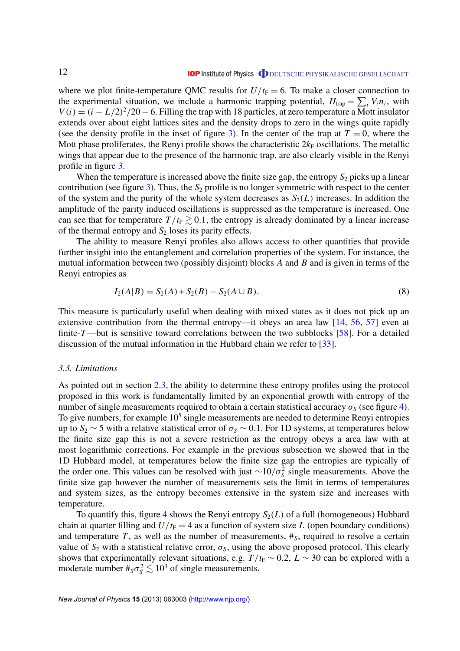<span id="page-12-0"></span>where we plot finite-temperature QMC results for  $U/t_F = 6$ . To make a closer connection to the experimental situation, we include a harmonic trapping potential,  $H_{trap} = \sum_i V_i n_i$ , with  $V(i) = (i - L/2)^2/20 - 6$ . Filling the trap with 18 particles, at zero temperature a Mott insulator extends over about eight lattices sites and the density drops to zero in the wings quite rapidly (see the density profile in the inset of figure [3\)](#page-11-0). In the center of the trap at  $T = 0$ , where the Mott phase proliferates, the Renyi profile shows the characteristic  $2k_F$  oscillations. The metallic wings that appear due to the presence of the harmonic trap, are also clearly visible in the Renyi profile in figure [3.](#page-11-0)

When the temperature is increased above the finite size gap, the entropy  $S_2$  picks up a linear contribution (see figure [3\)](#page-11-0). Thus, the  $S_2$  profile is no longer symmetric with respect to the center of the system and the purity of the whole system decreases as  $S_2(L)$  increases. In addition the amplitude of the parity induced oscillations is suppressed as the temperature is increased. One can see that for temperature  $T/t_F \geq 0.1$ , the entropy is already dominated by a linear increase of the thermal entropy and  $S_2$  loses its parity effects.

The ability to measure Renyi profiles also allows access to other quantities that provide further insight into the entanglement and correlation properties of the system. For instance, the mutual information between two (possibly disjoint) blocks *A* and *B* and is given in terms of the Renyi entropies as

$$
I_2(A|B) = S_2(A) + S_2(B) - S_2(A \cup B). \tag{8}
$$

This measure is particularly useful when dealing with mixed states as it does not pick up an extensive contribution from the thermal entropy—it obeys an area law [\[14,](#page-16-0) [56,](#page-17-0) [57\]](#page-17-0) even at finite-*T*—but is sensitive toward correlations between the two subblocks [\[58\]](#page-17-0). For a detailed discussion of the mutual information in the Hubbard chain we refer to [\[33\]](#page-16-0).

#### *3.3. Limitations*

As pointed out in section [2.3,](#page-8-0) the ability to determine these entropy profiles using the protocol proposed in this work is fundamentally limited by an exponential growth with entropy of the number of single measurements required to obtain a certain statistical accuracy  $\sigma_S$  (see figure [4\)](#page-13-0). To give numbers, for example  $10<sup>5</sup>$  single measurements are needed to determine Renyi entropies up to  $S_2 \sim 5$  with a relative statistical error of  $\sigma_S \sim 0.1$ . For 1D systems, at temperatures below the finite size gap this is not a severe restriction as the entropy obeys a area law with at most logarithmic corrections. For example in the previous subsection we showed that in the 1D Hubbard model, at temperatures below the finite size gap the entropies are typically of the order one. This values can be resolved with just  $\sim 10/\sigma_s^2$  single measurements. Above the finite size gap however the number of measurements sets the limit in terms of temperatures and system sizes, as the entropy becomes extensive in the system size and increases with temperature.

To quantify this, figure [4](#page-13-0) shows the Renyi entropy  $S_2(L)$  of a full (homogeneous) Hubbard chain at quarter filling and  $U/t_F = 4$  as a function of system size L (open boundary conditions) and temperature  $T$ , as well as the number of measurements,  $\#_S$ , required to resolve a certain value of  $S_2$  with a statistical relative error,  $\sigma_S$ , using the above proposed protocol. This clearly shows that experimentally relevant situations, e.g.  $T/t_F \sim 0.2$ ,  $L \sim 30$  can be explored with a moderate number  $\#_S \sigma_S^2 \lesssim 10^3$  of single measurements.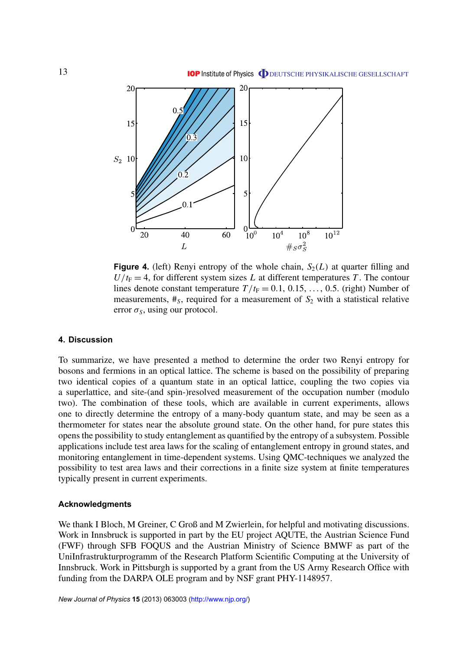<span id="page-13-0"></span>

**Figure 4.** (left) Renyi entropy of the whole chain,  $S_2(L)$  at quarter filling and  $U/t_F = 4$ , for different system sizes *L* at different temperatures *T*. The contour lines denote constant temperature  $T/t_F = 0.1, 0.15, \ldots, 0.5$ . (right) Number of measurements,  $#_S$ , required for a measurement of  $S_2$  with a statistical relative error  $\sigma_s$ , using our protocol.

#### **4. Discussion**

To summarize, we have presented a method to determine the order two Renyi entropy for bosons and fermions in an optical lattice. The scheme is based on the possibility of preparing two identical copies of a quantum state in an optical lattice, coupling the two copies via a superlattice, and site-(and spin-)resolved measurement of the occupation number (modulo two). The combination of these tools, which are available in current experiments, allows one to directly determine the entropy of a many-body quantum state, and may be seen as a thermometer for states near the absolute ground state. On the other hand, for pure states this opens the possibility to study entanglement as quantified by the entropy of a subsystem. Possible applications include test area laws for the scaling of entanglement entropy in ground states, and monitoring entanglement in time-dependent systems. Using QMC-techniques we analyzed the possibility to test area laws and their corrections in a finite size system at finite temperatures typically present in current experiments.

#### **Acknowledgments**

We thank I Bloch, M Greiner, C Groß and M Zwierlein, for helpful and motivating discussions. Work in Innsbruck is supported in part by the EU project AQUTE, the Austrian Science Fund (FWF) through SFB FOQUS and the Austrian Ministry of Science BMWF as part of the UniInfrastrukturprogramm of the Research Platform Scientific Computing at the University of Innsbruck. Work in Pittsburgh is supported by a grant from the US Army Research Office with funding from the DARPA OLE program and by NSF grant PHY-1148957.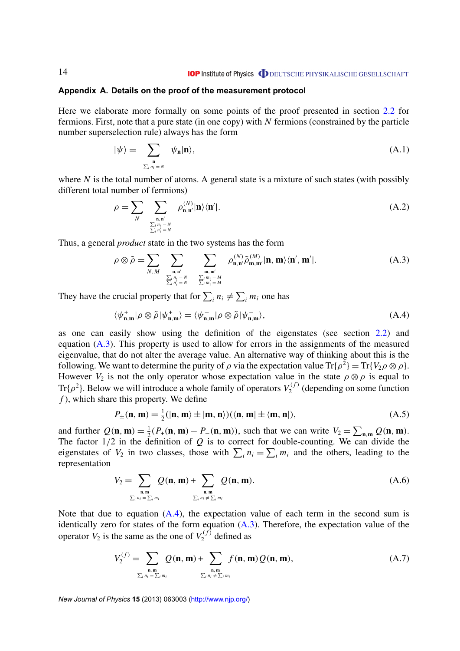#### <span id="page-14-0"></span>**Appendix A. Details on the proof of the measurement protocol**

Here we elaborate more formally on some points of the proof presented in section [2.2](#page-6-0) for fermions. First, note that a pure state (in one copy) with *N* fermions (constrained by the particle number superselection rule) always has the form

$$
|\psi\rangle = \sum_{\substack{\mathbf{n} \\ \sum_{i} n_i = N}} \psi_{\mathbf{n}} | \mathbf{n} \rangle, \tag{A.1}
$$

where *N* is the total number of atoms. A general state is a mixture of such states (with possibly different total number of fermions)

$$
\rho = \sum_{N} \sum_{\substack{\mathbf{n}, \mathbf{n}' \ \sum_{i} n_i = N \\ \sum_{i} n_i = N}} \rho_{\mathbf{n}, \mathbf{n}'}^{(N)} |\mathbf{n}\rangle \langle \mathbf{n}'|.
$$
\n(A.2)

Thus, a general *product* state in the two systems has the form

$$
\rho \otimes \tilde{\rho} = \sum_{N,M} \sum_{\substack{\mathbf{n}, \mathbf{n}' \\ \sum_i n_i = N \\ \sum_i n'_i = N}} \sum_{\substack{\mathbf{m}, \mathbf{m}' \\ \sum_i m_i = M \\ \sum_i m'_i = M}} \rho_{\mathbf{n}, \mathbf{n}'}^{(N)} \tilde{\rho}_{\mathbf{m}, \mathbf{m}'}^{(M)} |\mathbf{n}, \mathbf{m} \rangle \langle \mathbf{n}', \mathbf{m}' |.
$$
\n(A.3)

They have the crucial property that for  $\sum_{i} n_i \neq \sum_{i} m_i$  one has

$$
\langle \psi_{n,m}^+ | \rho \otimes \tilde{\rho} | \psi_{n,m}^+ \rangle = \langle \psi_{n,m}^- | \rho \otimes \tilde{\rho} | \psi_{n,m}^- \rangle, \tag{A.4}
$$

as one can easily show using the definition of the eigenstates (see section [2.2\)](#page-6-0) and equation (A.3). This property is used to allow for errors in the assignments of the measured eigenvalue, that do not alter the average value. An alternative way of thinking about this is the following. We want to determine the purity of  $\rho$  via the expectation value Tr{ $\rho^2$ } = Tr{*V*<sub>2</sub> $\rho \otimes \rho$ }. However  $V_2$  is not the only operator whose expectation value in the state  $\rho \otimes \rho$  is equal to Tr{ $\rho^2$ }. Below we will introduce a whole family of operators  $V_2^{(f)}$  $Z_2^{(1)}$  (depending on some function *f* ), which share this property. We define

$$
P_{\pm}(\mathbf{n}, \mathbf{m}) = \frac{1}{2} (|\mathbf{n}, \mathbf{m}\rangle \pm |\mathbf{m}, \mathbf{n}\rangle) (\langle \mathbf{n}, \mathbf{m}\vert \pm \langle \mathbf{m}, \mathbf{n}\vert), \tag{A.5}
$$

and further  $Q(\mathbf{n}, \mathbf{m}) = \frac{1}{2}$  $\frac{1}{2}(P_+(\mathbf{n}, \mathbf{m}) - P_-(\mathbf{n}, \mathbf{m}))$ , such that we can write  $V_2 = \sum_{\mathbf{n}, \mathbf{m}} Q(\mathbf{n}, \mathbf{m})$ . The factor  $1/2$  in the definition of  $Q$  is to correct for double-counting. We can divide the eigenstates of  $V_2$  in two classes, those with  $\sum_i n_i = \sum_i m_i$  and the others, leading to the representation

$$
V_2 = \sum_{\substack{\mathbf{n}, \mathbf{m} \\ \sum_i n_i = \sum_i m_i}} Q(\mathbf{n}, \mathbf{m}) + \sum_{\substack{\mathbf{n}, \mathbf{m} \\ \sum_i n_i \neq \sum_i m_i}} Q(\mathbf{n}, \mathbf{m}).
$$
 (A.6)

Note that due to equation  $(A.4)$ , the expectation value of each term in the second sum is identically zero for states of the form equation  $(A.3)$ . Therefore, the expectation value of the operator  $V_2$  is the same as the one of  $V_2^{(f)}$  $\binom{1}{2}$  defined as

$$
V_2^{(f)} = \sum_{\substack{\mathbf{n}, \mathbf{m} \\ \sum_i n_i = \sum_i m_i}} Q(\mathbf{n}, \mathbf{m}) + \sum_{\substack{\mathbf{n}, \mathbf{m} \\ \sum_i n_i \neq \sum_i m_i}} f(\mathbf{n}, \mathbf{m}) Q(\mathbf{n}, \mathbf{m}),
$$
(A.7)

*New Journal of Physics* **15** (2013) 063003 [\(http://www.njp.org/\)](http://www.njp.org/)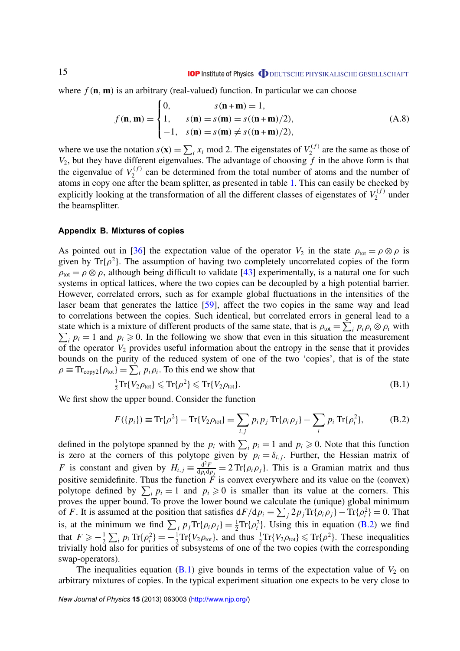<span id="page-15-0"></span>where  $f(\mathbf{n}, \mathbf{m})$  is an arbitrary (real-valued) function. In particular we can choose

$$
f(\mathbf{n}, \mathbf{m}) = \begin{cases} 0, & s(\mathbf{n} + \mathbf{m}) = 1, \\ 1, & s(\mathbf{n}) = s(\mathbf{m}) = s((\mathbf{n} + \mathbf{m})/2), \\ -1, & s(\mathbf{n}) = s(\mathbf{m}) \neq s((\mathbf{n} + \mathbf{m})/2), \end{cases}
$$
(A.8)

where we use the notation  $s(\mathbf{x}) = \sum_i x_i \text{ mod } 2$ . The eigenstates of  $V_2^{(f)}$  $\chi_2^{(1)}$  are the same as those of *V*2, but they have different eigenvalues. The advantage of choosing *f* in the above form is that the eigenvalue of  $V_2^{(f)}$  $2<sup>(1)</sup>$  can be determined from the total number of atoms and the number of atoms in copy one after the beam splitter, as presented in table [1.](#page-6-0) This can easily be checked by explicitly looking at the transformation of all the different classes of eigenstates of  $V_2^{(f)}$  $\binom{U}{2}$  under the beamsplitter.

#### **Appendix B. Mixtures of copies**

As pointed out in [\[36\]](#page-17-0) the expectation value of the operator  $V_2$  in the state  $\rho_{tot} = \rho \otimes \rho$  is given by Tr{ $\rho^2$ }. The assumption of having two completely uncorrelated copies of the form  $\rho_{\text{tot}} = \rho \otimes \rho$ , although being difficult to validate [\[43\]](#page-17-0) experimentally, is a natural one for such systems in optical lattices, where the two copies can be decoupled by a high potential barrier. However, correlated errors, such as for example global fluctuations in the intensities of the laser beam that generates the lattice [\[59\]](#page-17-0), affect the two copies in the same way and lead to correlations between the copies. Such identical, but correlated errors in general lead to a state which is a mixture of different products of the same state, that is  $\rho_{\text{tot}} = \sum_i p_i \rho_i \otimes \rho_i$  with  $\sum_i p_i = 1$  and  $p_i \ge 0$ . In the following we show that even in this situation the measurement of the operator *V*<sup>2</sup> provides useful information about the entropy in the sense that it provides bounds on the purity of the reduced system of one of the two 'copies', that is of the state  $\rho \equiv \text{Tr}_{\text{copy2}}\{\rho_{\text{tot}}\} = \sum_{i} p_i \rho_i$ . To this end we show that

$$
\frac{1}{2}\mathrm{Tr}\{V_2\rho_{\text{tot}}\} \leqslant \mathrm{Tr}\{\rho^2\} \leqslant \mathrm{Tr}\{V_2\rho_{\text{tot}}\}.
$$
\n(B.1)

We first show the upper bound. Consider the function

$$
F({p_i}) \equiv \text{Tr}{\rho^2} - \text{Tr}{V_2 \rho_{\text{tot}}} = \sum_{i,j} p_i p_j \text{Tr}{\rho_i \rho_j} - \sum_i p_i \text{Tr}{\rho_i^2}, \quad (B.2)
$$

defined in the polytope spanned by the  $p_i$  with  $\sum_i p_i = 1$  and  $p_i \ge 0$ . Note that this function is zero at the corners of this polytope given by  $p_i = \delta_{i,j}$ . Further, the Hessian matrix of *F* is constant and given by  $H_{i,j} \equiv \frac{d^2 F}{dn \cdot dr}$  $\frac{d^2 F}{dp_i dp_j} = 2 \text{Tr}{\rho_i \rho_j}$ . This is a Gramian matrix and thus positive semidefinite. Thus the function  $\overline{F}$  is convex everywhere and its value on the (convex) polytope defined by  $\sum_i p_i = 1$  and  $p_i \ge 0$  is smaller than its value at the corners. This proves the upper bound. To prove the lower bound we calculate the (unique) global minimum of *F*. It is assumed at the position that satisfies  $dF/dp_i \equiv \sum_j 2p_j Tr{\rho_i \rho_j} - Tr{\rho_i^2} = 0$ . That is, at the minimum we find  $\sum_j p_j \text{Tr}\{\rho_i \rho_j\} = \frac{1}{2} \text{Tr}\{\rho_i^2\}$ . Using this in equation (B.2) we find that  $F \geqslant -\frac{1}{2}$  $\frac{1}{2}\sum_i p_i \text{Tr}\{\rho_i^2\} = -\frac{1}{2}\text{Tr}\{V_2 \rho_{\text{tot}}\},\$  and thus  $\frac{1}{2}\text{Tr}\{V_2 \rho_{\text{tot}}\} \leqslant \text{Tr}\{\rho^2\}.$  These inequalities trivially hold also for purities of subsystems of one of the two copies (with the corresponding swap-operators).

The inequalities equation  $(B.1)$  give bounds in terms of the expectation value of  $V_2$  on arbitrary mixtures of copies. In the typical experiment situation one expects to be very close to

*New Journal of Physics* **15** (2013) 063003 [\(http://www.njp.org/\)](http://www.njp.org/)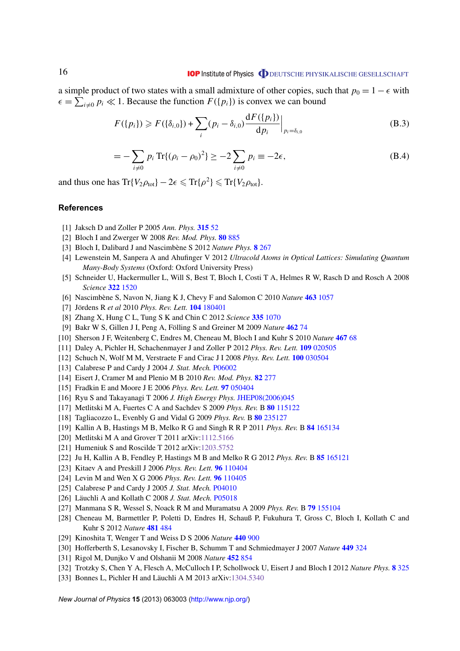<span id="page-16-0"></span>a simple product of two states with a small admixture of other copies, such that  $p_0 = 1 - \epsilon$  with  $\epsilon = \sum_{i=0}^{n} p_i \ll 1$ . Because the function  $F(\{p_i\})$  is convex we can bound

$$
F({p_i}) \ge F({\delta_{i,0}}) + \sum_i (p_i - \delta_{i,0}) \frac{dF({p_i})}{dp_i}\Big|_{p_i = \delta_{i,0}}
$$
 (B.3)

$$
= -\sum_{i \neq 0} p_i \operatorname{Tr}\{ (\rho_i - \rho_0)^2 \} \ge -2 \sum_{i \neq 0} p_i \equiv -2\epsilon,
$$
 (B.4)

and thus one has  $\text{Tr}\lbrace V_2 \rho_{\text{tot}} \rbrace - 2\epsilon \leqslant \text{Tr}\lbrace \rho^2 \rbrace \leqslant \text{Tr}\lbrace V_2 \rho_{\text{tot}} \rbrace$ .

#### **References**

- [1] Jaksch D and Zoller P 2005 *Ann. Phys.* **[315](http://dx.doi.org/10.1016/j.aop.2004.09.010)** 52
- [2] Bloch I and Zwerger W 2008 *Rev. Mod. Phys.* **80** [885](http://dx.doi.org/10.1103/RevModPhys.80.885)
- [3] Bloch I, Dalibard J and Nascimbène S 2012 Nature Phys. **8** [267](http://dx.doi.org/10.1038/nphys2259)
- [4] Lewenstein M, Sanpera A and Ahufinger V 2012 *Ultracold Atoms in Optical Lattices: Simulating Quantum Many-Body Systems* (Oxford: Oxford University Press)
- [5] Schneider U, Hackermuller L, Will S, Best T, Bloch I, Costi T A, Helmes R W, Rasch D and Rosch A 2008 *Science* **322** [1520](http://dx.doi.org/10.1126/science.1165449)
- [6] Nascimbène S, Navon N, Jiang K J, Chevy F and Salomon C 2010 Nature **463** [1057](http://dx.doi.org/10.1038/nature08814)
- [7] Jördens R et al 2010 Phys. Rev. Lett. **104** [180401](http://dx.doi.org/10.1103/PhysRevLett.104.180401)
- [8] Zhang X, Hung C L, Tung S K and Chin C 2012 *Science* **335** [1070](http://dx.doi.org/10.1126/science.1217990)
- [9] Bakr W S, Gillen J I, Peng A, Fölling S and Greiner M 2009 Nature [462](http://dx.doi.org/10.1038/nature08482) 74
- [10] Sherson J F, Weitenberg C, Endres M, Cheneau M, Bloch I and Kuhr S 2010 *Nature* **[467](http://dx.doi.org/10.1038/nature09378)** 68
- [11] Daley A, Pichler H, Schachenmayer J and Zoller P 2012 *Phys. Rev. Lett.* **109** [020505](http://dx.doi.org/10.1103/PhysRevLett.109.020505)
- [12] Schuch N, Wolf M M, Verstraete F and Cirac J I 2008 *Phys. Rev. Lett.* **100** [030504](http://dx.doi.org/10.1103/PhysRevLett.100.030504)
- [13] Calabrese P and Cardy J 2004 *J. Stat. Mech.* [P06002](http://dx.doi.org/10.1088/1742-5468/2004/06/P06002)
- [14] Eisert J, Cramer M and Plenio M B 2010 *Rev. Mod. Phys.* **82** [277](http://dx.doi.org/10.1103/RevModPhys.82.277)
- [15] Fradkin E and Moore J E 2006 *Phys. Rev. Lett.* **97** [050404](http://dx.doi.org/10.1103/PhysRevLett.97.050404)
- [16] Ryu S and Takayanagi T 2006 *J. High Energy Phys.* [JHEP08\(2006\)045](http://dx.doi.org/10.1088/1126-6708/2006/08/045)
- [17] Metlitski M A, Fuertes C A and Sachdev S 2009 *Phys. Rev.* B **80** [115122](http://dx.doi.org/10.1103/PhysRevB.80.115122)
- [18] Tagliacozzo L, Evenbly G and Vidal G 2009 *Phys. Rev.* B **80** [235127](http://dx.doi.org/10.1103/PhysRevB.80.235127)
- [19] Kallin A B, Hastings M B, Melko R G and Singh R R P 2011 *Phys. Rev.* B **84** [165134](http://dx.doi.org/10.1103/PhysRevB.84.165134)
- [20] Metlitski M A and Grover T 2011 arXiv[:1112.5166](http://arxiv.org/abs/1112.5166)
- [21] Humeniuk S and Roscilde T 2012 arXiv[:1203.5752](http://arxiv.org/abs/1203.5752)
- [22] Ju H, Kallin A B, Fendley P, Hastings M B and Melko R G 2012 *Phys. Rev.* B **85** [165121](http://dx.doi.org/10.1103/PhysRevB.85.165121)
- [23] Kitaev A and Preskill J 2006 *Phys. Rev. Lett.* **96** [110404](http://dx.doi.org/10.1103/PhysRevLett.96.110404)
- [24] Levin M and Wen X G 2006 *Phys. Rev. Lett.* **96** [110405](http://dx.doi.org/10.1103/PhysRevLett.96.110405)
- [25] Calabrese P and Cardy J 2005 *J. Stat. Mech.* [P04010](http://dx.doi.org/10.1088/1742-5468/2005/04/P04010)
- [26] Läuchli A and Kollath C 2008 *J. Stat. Mech.* [P05018](http://dx.doi.org/10.1088/1742-5468/2008/05/P05018)
- [27] Manmana S R, Wessel S, Noack R M and Muramatsu A 2009 *Phys. Rev.* B **79** [155104](http://dx.doi.org/10.1103/PhysRevB.79.155104)
- [28] Cheneau M, Barmettler P, Poletti D, Endres H, Schauß P, Fukuhura T, Gross C, Bloch I, Kollath C and Kuhr S 2012 *Nature* **[481](http://dx.doi.org/10.1038/nature10748)** 484
- [29] Kinoshita T, Wenger T and Weiss D S 2006 *Nature* **[440](http://dx.doi.org/10.1038/nature04693)** 900
- [30] Hofferberth S, Lesanovsky I, Fischer B, Schumm T and Schmiedmayer J 2007 *Nature* **449** [324](http://dx.doi.org/10.1038/nature06149)
- [31] Rigol M, Dunjko V and Olshanii M 2008 *Nature* **[452](http://dx.doi.org/10.1038/nature06838)** 854
- [32] Trotzky S, Chen Y A, Flesch A, McCulloch I P, Schollwock U, Eisert J and Bloch I 2012 *Nature Phys.* **8** [325](http://dx.doi.org/10.1038/nphys2232)
- [33] Bonnes L, Pichler H and Läuchli A M 2013 arXiv: [1304.5340](http://arxiv.org/abs/1304.5340)

*New Journal of Physics* **15** (2013) 063003 [\(http://www.njp.org/\)](http://www.njp.org/)